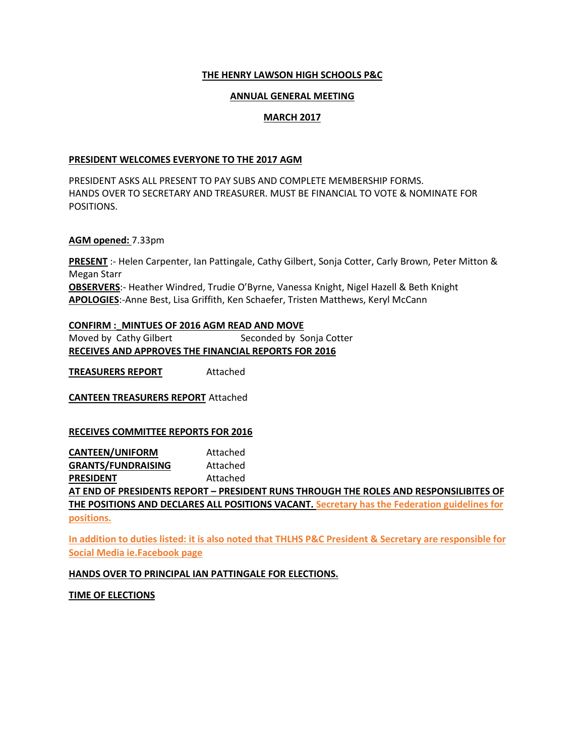#### **THE HENRY LAWSON HIGH SCHOOLS P&C**

#### **ANNUAL GENERAL MEETING**

## **MARCH 2017**

#### **PRESIDENT WELCOMES EVERYONE TO THE 2017 AGM**

PRESIDENT ASKS ALL PRESENT TO PAY SUBS AND COMPLETE MEMBERSHIP FORMS. HANDS OVER TO SECRETARY AND TREASURER. MUST BE FINANCIAL TO VOTE & NOMINATE FOR POSITIONS.

#### **AGM opened:** 7.33pm

**PRESENT** :- Helen Carpenter, Ian Pattingale, Cathy Gilbert, Sonja Cotter, Carly Brown, Peter Mitton & Megan Starr **OBSERVERS**:- Heather Windred, Trudie O'Byrne, Vanessa Knight, Nigel Hazell & Beth Knight **APOLOGIES**:-Anne Best, Lisa Griffith, Ken Schaefer, Tristen Matthews, Keryl McCann

## **CONFIRM :\_MINTUES OF 2016 AGM READ AND MOVE**  Moved by Cathy Gilbert Seconded by Sonja Cotter **RECEIVES AND APPROVES THE FINANCIAL REPORTS FOR 2016**

**TREASURERS REPORT** Attached

**CANTEEN TREASURERS REPORT** Attached

## **RECEIVES COMMITTEE REPORTS FOR 2016**

**CANTEEN/UNIFORM** Attached **GRANTS/FUNDRAISING** Attached **PRESIDENT** Attached **AT END OF PRESIDENTS REPORT – PRESIDENT RUNS THROUGH THE ROLES AND RESPONSILIBITES OF THE POSITIONS AND DECLARES ALL POSITIONS VACANT. Secretary has the Federation guidelines for positions.**

**In addition to duties listed: it is also noted that THLHS P&C President & Secretary are responsible for Social Media ie.Facebook page**

## **HANDS OVER TO PRINCIPAL IAN PATTINGALE FOR ELECTIONS.**

**TIME OF ELECTIONS**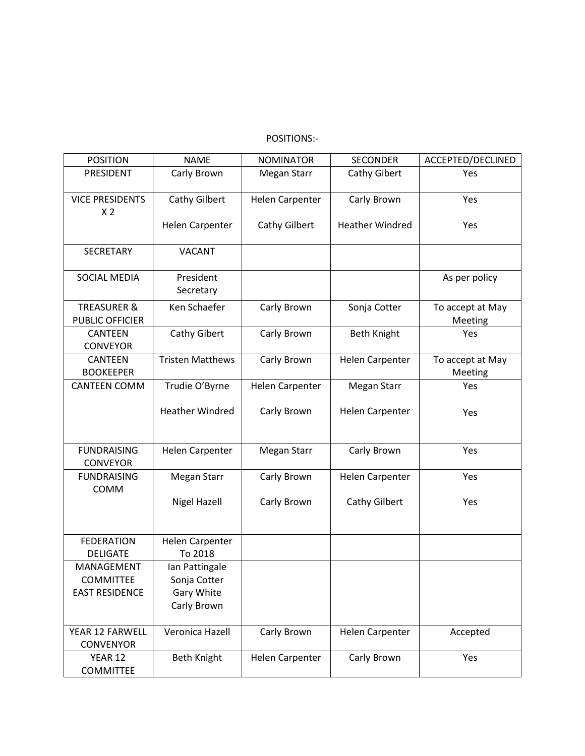# POSITIONS:-

| <b>POSITION</b>                                  | <b>NAME</b>                       | <b>NOMINATOR</b> | <b>SECONDER</b>        | ACCEPTED/DECLINED           |
|--------------------------------------------------|-----------------------------------|------------------|------------------------|-----------------------------|
| PRESIDENT                                        | Carly Brown                       | Megan Starr      | Cathy Gibert           | Yes                         |
| <b>VICE PRESIDENTS</b><br>X <sub>2</sub>         | Cathy Gilbert                     | Helen Carpenter  | Carly Brown            | Yes                         |
|                                                  | Helen Carpenter                   | Cathy Gilbert    | <b>Heather Windred</b> | Yes                         |
| <b>SECRETARY</b>                                 | <b>VACANT</b>                     |                  |                        |                             |
| <b>SOCIAL MEDIA</b>                              | President<br>Secretary            |                  |                        | As per policy               |
| <b>TREASURER &amp;</b><br><b>PUBLIC OFFICIER</b> | Ken Schaefer                      | Carly Brown      | Sonja Cotter           | To accept at May<br>Meeting |
| <b>CANTEEN</b><br><b>CONVEYOR</b>                | Cathy Gibert                      | Carly Brown      | <b>Beth Knight</b>     | Yes                         |
| <b>CANTEEN</b><br><b>BOOKEEPER</b>               | <b>Tristen Matthews</b>           | Carly Brown      | <b>Helen Carpenter</b> | To accept at May<br>Meeting |
| <b>CANTEEN COMM</b>                              | Trudie O'Byrne                    | Helen Carpenter  | Megan Starr            | Yes                         |
|                                                  | <b>Heather Windred</b>            | Carly Brown      | Helen Carpenter        | Yes                         |
| <b>FUNDRAISING</b><br><b>CONVEYOR</b>            | <b>Helen Carpenter</b>            | Megan Starr      | Carly Brown            | Yes                         |
| <b>FUNDRAISING</b>                               | Megan Starr                       | Carly Brown      | Helen Carpenter        | Yes                         |
| COMM                                             | <b>Nigel Hazell</b>               | Carly Brown      | <b>Cathy Gilbert</b>   | Yes                         |
| <b>FEDERATION</b><br><b>DELIGATE</b>             | <b>Helen Carpenter</b><br>To 2018 |                  |                        |                             |
| MANAGEMENT<br><b>COMMITTEE</b>                   | Ian Pattingale<br>Sonja Cotter    |                  |                        |                             |
| <b>EAST RESIDENCE</b>                            | Gary White<br>Carly Brown         |                  |                        |                             |
| YEAR 12 FARWELL<br><b>CONVENYOR</b>              | Veronica Hazell                   | Carly Brown      | <b>Helen Carpenter</b> | Accepted                    |
| YEAR 12<br><b>COMMITTEE</b>                      | <b>Beth Knight</b>                | Helen Carpenter  | Carly Brown            | Yes                         |